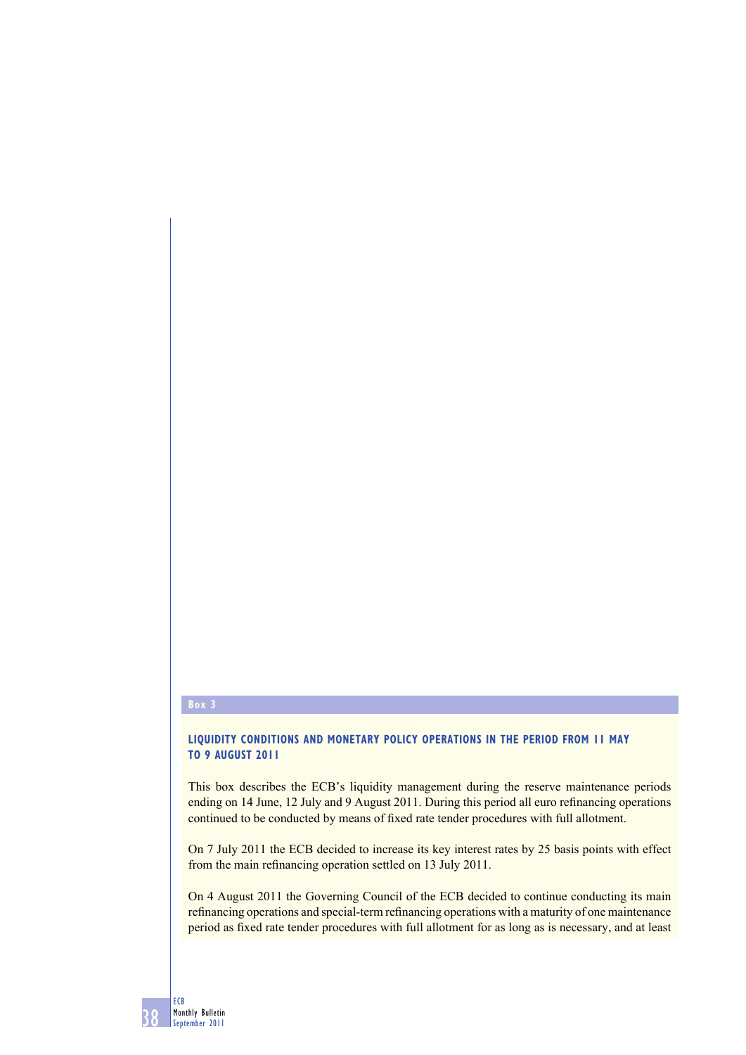## **Box 3**

## **LIQUIDITY CONDITIONS AND MONETARY POLICY OPERATIONS IN THE PERIOD FROM 11 MAY TO 9 AUGUST 2011**

This box describes the ECB's liquidity management during the reserve maintenance periods ending on 14 June, 12 July and 9 August 2011. During this period all euro refinancing operations continued to be conducted by means of fixed rate tender procedures with full allotment.

On 7 July 2011 the ECB decided to increase its key interest rates by 25 basis points with effect from the main refinancing operation settled on 13 July 2011.

On 4 August 2011 the Governing Council of the ECB decided to continue conducting its main refinancing operations and special-term refinancing operations with a maturity of one maintenance period as fixed rate tender procedures with full allotment for as long as is necessary, and at least

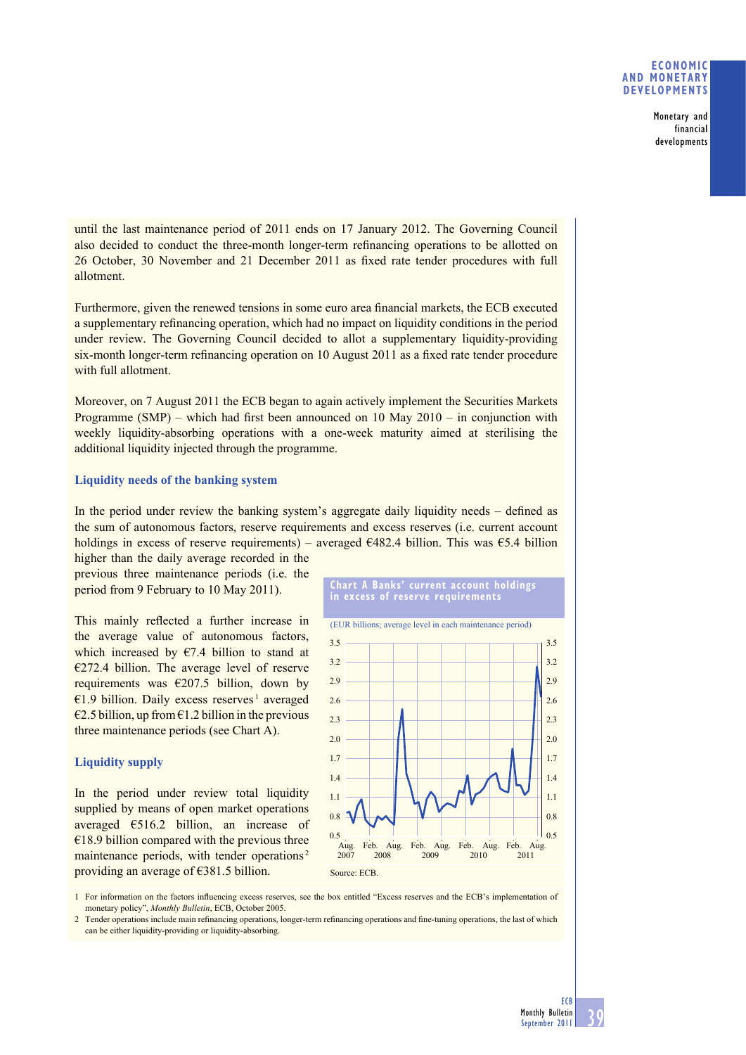## **ECONOMIC AND MONETARY DEVELOPMENTS**

**Monetary and financial developments**

until the last maintenance period of 2011 ends on 17 January 2012. The Governing Council also decided to conduct the three-month longer-term refinancing operations to be allotted on 26 October, 30 November and 21 December 2011 as fixed rate tender procedures with full allotment.

Furthermore, given the renewed tensions in some euro area financial markets, the ECB executed a supplementary refinancing operation, which had no impact on liquidity conditions in the period under review. The Governing Council decided to allot a supplementary liquidity-providing  $six$ -month longer-term refinancing operation on 10 August 2011 as a fixed rate tender procedure with full allotment.

Moreover, on 7 August 2011 the ECB began to again actively implement the Securities Markets Programme (SMP) – which had first been announced on 10 May  $2010 -$  in conjunction with weekly liquidity-absorbing operations with a one-week maturity aimed at sterilising the additional liquidity injected through the programme.

## **Liquidity needs of the banking system**

In the period under review the banking system's aggregate daily liquidity needs – defined as the sum of autonomous factors, reserve requirements and excess reserves (i.e. current account holdings in excess of reserve requirements) – averaged  $\epsilon$ 482.4 billion. This was  $\epsilon$ 5.4 billion

higher than the daily average recorded in the previous three maintenance periods (i.e. the period from 9 February to 10 May 2011).

This mainly reflected a further increase in the average value of autonomous factors, which increased by  $E$ 7.4 billion to stand at  $\epsilon$ 272.4 billion. The average level of reserve requirements was  $\epsilon$ 207.5 billion, down by €1.9 billion. Daily excess reserves 1 averaged  $\epsilon$ 2.5 billion, up from  $\epsilon$ 1.2 billion in the previous three maintenance periods (see Chart A).

# **Liquidity supply**

In the period under review total liquidity supplied by means of open market operations averaged €516.2 billion, an increase of  $€18.9$  billion compared with the previous three maintenance periods, with tender operations<sup>2</sup> providing an average of €381.5 billion.





1 For information on the factors influencing excess reserves, see the box entitled "Excess reserves and the ECB's implementation of monetary policy", *Monthly Bulletin*, ECB, October 2005.

2 Tender operations include main refinancing operations, longer-term refinancing operations and fine-tuning operations, the last of which can be either liquidity-providing or liquidity-absorbing.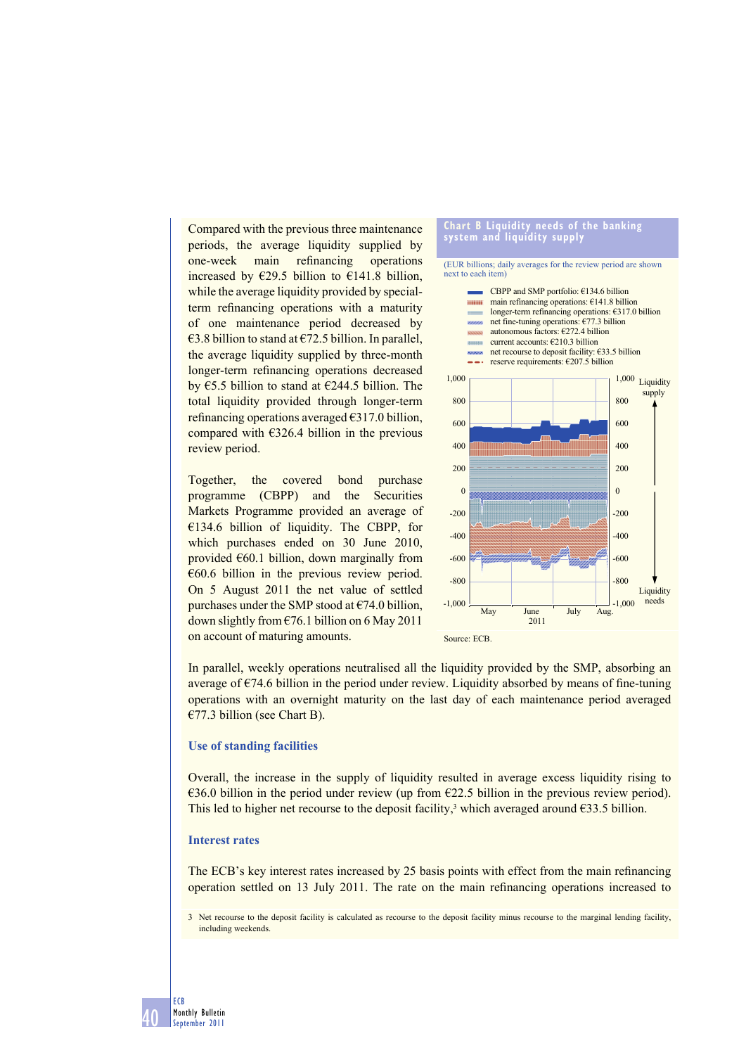Compared with the previous three maintenance periods, the average liquidity supplied by one-week main refinancing operations increased by  $\epsilon$ 29.5 billion to  $\epsilon$ 141.8 billion, while the average liquidity provided by specialterm refinancing operations with a maturity of one maintenance period decreased by €3.8 billion to stand at €72.5 billion. In parallel, the average liquidity supplied by three-month longer-term refinancing operations decreased by  $\text{\large\ensuremath{\in}} 5.5$  billion to stand at  $\text{\large\ensuremath{\in}} 244.5$  billion. The total liquidity provided through longer-term refinancing operations averaged  $\epsilon$ 317.0 billion, compared with  $\epsilon$ 326.4 billion in the previous review period.

Together, the covered bond purchase programme (CBPP) and the Securities Markets Programme provided an average of €134.6 billion of liquidity. The CBPP, for which purchases ended on 30 June 2010, provided  $\epsilon$ 60.1 billion, down marginally from  $€60.6$  billion in the previous review period. On 5 August 2011 the net value of settled purchases under the SMP stood at  $\epsilon$ 74.0 billion, down slightly from  $\epsilon$ 76.1 billion on 6 May 2011 on account of maturing amounts.

#### **Chart B Liquidity needs of the banking system and liquidity supply**

(EUR billions; daily averages for the review period are shown next to each item)



In parallel, weekly operations neutralised all the liquidity provided by the SMP, absorbing an average of  $\epsilon$ 74.6 billion in the period under review. Liquidity absorbed by means of fine-tuning operations with an overnight maturity on the last day of each maintenance period averaged €77.3 billion (see Chart B).

#### **Use of standing facilities**

Overall, the increase in the supply of liquidity resulted in average excess liquidity rising to €36.0 billion in the period under review (up from €22.5 billion in the previous review period). This led to higher net recourse to the deposit facility,<sup>3</sup> which averaged around  $\epsilon$ 33.5 billion.

### **Interest rates**

The ECB's key interest rates increased by 25 basis points with effect from the main refinancing operation settled on 13 July 2011. The rate on the main refinancing operations increased to

<sup>3</sup> Net recourse to the deposit facility is calculated as recourse to the deposit facility minus recourse to the marginal lending facility, including weekends.